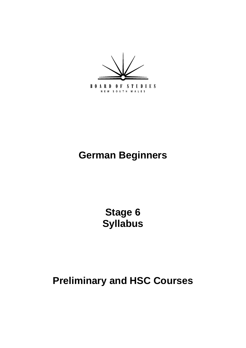

# **German Beginners**

**Stage 6 Syllabus** 

# **Preliminary and HSC Courses**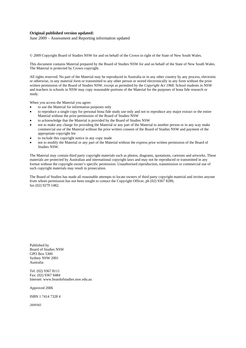#### **Original published version updated:**

June 2009 – Assessment and Reporting information updated

© 2009 Copyright Board of Studies NSW for and on behalf of the Crown in right of the State of New South Wales.

This document contains Material prepared by the Board of Studies NSW for and on behalf of the State of New South Wales. The Material is protected by Crown copyright.

All rights reserved. No part of the Material may be reproduced in Australia or in any other country by any process, electronic or otherwise, in any material form or transmitted to any other person or stored electronically in any form without the prior written permission of the Board of Studies NSW, except as permitted by the *Copyright Act 1968*. School students in NSW and teachers in schools in NSW may copy reasonable portions of the Material for the purposes of bona fide research or study.

When you access the Material you agree:

- to use the Material for information purposes only
- to reproduce a single copy for personal bona fide study use only and not to reproduce any major extract or the entire Material without the prior permission of the Board of Studies NSW
- to acknowledge that the Material is provided by the Board of Studies NSW
- not to make any charge for providing the Material or any part of the Material to another person or in any way make commercial use of the Material without the prior written consent of the Board of Studies NSW and payment of the appropriate copyright fee
- to include this copyright notice in any copy made
- not to modify the Material or any part of the Material without the express prior written permission of the Board of Studies NSW.

The Material may contain third party copyright materials such as photos, diagrams, quotations, cartoons and artworks. These materials are protected by Australian and international copyright laws and may not be reproduced or transmitted in any format without the copyright owner's specific permission. Unauthorised reproduction, transmission or commercial use of such copyright materials may result in prosecution.

The Board of Studies has made all reasonable attempts to locate owners of third party copyright material and invites anyone from whom permission has not been sought to contact the Copyright Officer, ph (02) 9367 8289, fax (02) 9279 1482.

Published by Board of Studies NSW GPO Box 5300 Sydney NSW 2001 Australia

Tel: (02) 9367 8111 Fax: (02) 9367 8484 Internet: www.boardofstudies.nsw.edu.au

Approved 2006

ISBN 1 7414 7328 4

*2009365*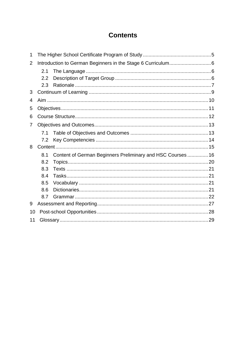# **Contents**

| 1              |     |                                                            |  |  |  |
|----------------|-----|------------------------------------------------------------|--|--|--|
| $\overline{2}$ |     |                                                            |  |  |  |
|                | 2.1 |                                                            |  |  |  |
|                | 2.2 |                                                            |  |  |  |
|                | 2.3 |                                                            |  |  |  |
| 3              |     |                                                            |  |  |  |
| 4              |     |                                                            |  |  |  |
| 5              |     |                                                            |  |  |  |
| 6              |     |                                                            |  |  |  |
| 7              |     |                                                            |  |  |  |
|                | 7.1 |                                                            |  |  |  |
|                | 7.2 |                                                            |  |  |  |
| 8              |     |                                                            |  |  |  |
|                | 8.1 | Content of German Beginners Preliminary and HSC Courses 16 |  |  |  |
|                | 8.2 |                                                            |  |  |  |
|                | 8.3 |                                                            |  |  |  |
|                | 8.4 |                                                            |  |  |  |
|                | 8.5 |                                                            |  |  |  |
|                | 8.6 |                                                            |  |  |  |
|                | 8.7 |                                                            |  |  |  |
| 9              |     |                                                            |  |  |  |
| 10             |     |                                                            |  |  |  |
| 11             |     |                                                            |  |  |  |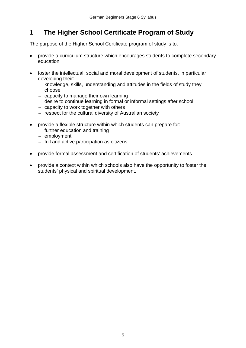# <span id="page-4-0"></span>**1 The Higher School Certificate Program of Study**

The purpose of the Higher School Certificate program of study is to:

- provide a curriculum structure which encourages students to complete secondary education
- foster the intellectual, social and moral development of students, in particular developing their:
	- knowledge, skills, understanding and attitudes in the fields of study they choose
	- capacity to manage their own learning
	- desire to continue learning in formal or informal settings after school
	- capacity to work together with others
	- respect for the cultural diversity of Australian society
- provide a flexible structure within which students can prepare for:
	- further education and training
	- employment
	- full and active participation as citizens
- provide formal assessment and certification of students' achievements
- provide a context within which schools also have the opportunity to foster the students' physical and spiritual development.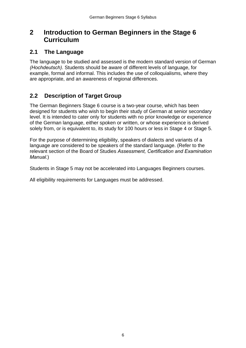## <span id="page-5-0"></span>**2 Introduction to German Beginners in the Stage 6 Curriculum**

### **2.1 The Language**

The language to be studied and assessed is the modern standard version of German *(Hochdeutsch)*. Students should be aware of different levels of language, for example, formal and informal. This includes the use of colloquialisms, where they are appropriate, and an awareness of regional differences.

### **2.2 Description of Target Group**

The German Beginners Stage 6 course is a two-year course, which has been designed for students who wish to begin their study of German at senior secondary level. It is intended to cater only for students with no prior knowledge or experience of the German language, either spoken or written, or whose experience is derived solely from, or is equivalent to, its study for 100 hours or less in Stage 4 or Stage 5.

For the purpose of determining eligibility, speakers of dialects and variants of a language are considered to be speakers of the standard language. (Refer to the relevant section of the Board of Studies *Assessment, Certification and Examination Manual.*)

Students in Stage 5 may not be accelerated into Languages Beginners courses.

All eligibility requirements for Languages must be addressed.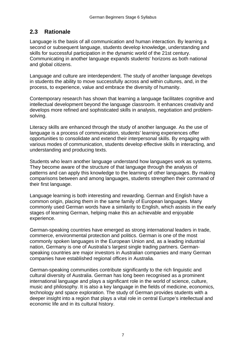### <span id="page-6-0"></span>**2.3 Rationale**

Language is the basis of all communication and human interaction. By learning a second or subsequent language, students develop knowledge, understanding and skills for successful participation in the dynamic world of the 21st century. Communicating in another language expands students' horizons as both national and global citizens.

Language and culture are interdependent. The study of another language develops in students the ability to move successfully across and within cultures, and, in the process, to experience, value and embrace the diversity of humanity.

Contemporary research has shown that learning a language facilitates cognitive and intellectual development beyond the language classroom. It enhances creativity and develops more refined and sophisticated skills in analysis, negotiation and problemsolving.

Literacy skills are enhanced through the study of another language. As the use of language is a process of communication, students' learning experiences offer opportunities to consolidate and extend their interpersonal skills. By engaging with various modes of communication, students develop effective skills in interacting, and understanding and producing texts.

Students who learn another language understand how languages work as systems. They become aware of the structure of that language through the analysis of patterns and can apply this knowledge to the learning of other languages. By making comparisons between and among languages, students strengthen their command of their first language.

Language learning is both interesting and rewarding. German and English have a common origin, placing them in the same family of European languages. Many commonly used German words have a similarity to English, which assists in the early stages of learning German, helping make this an achievable and enjoyable experience.

German-speaking countries have emerged as strong international leaders in trade, commerce, environmental protection and politics. German is one of the most commonly spoken languages in the European Union and, as a leading industrial nation, Germany is one of Australia's largest single trading partners. Germanspeaking countries are major investors in Australian companies and many German companies have established regional offices in Australia.

German-speaking communities contribute significantly to the rich linguistic and cultural diversity of Australia. German has long been recognised as a prominent international language and plays a significant role in the world of science, culture, music and philosophy. It is also a key language in the fields of medicine, economics, technology and space exploration. The study of German provides students with a deeper insight into a region that plays a vital role in central Europe's intellectual and economic life and in its cultural history.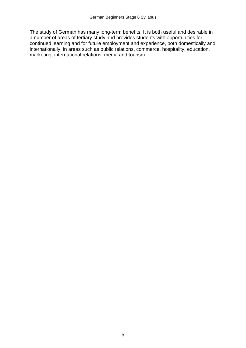The study of German has many long-term benefits. It is both useful and desirable in a number of areas of tertiary study and provides students with opportunities for continued learning and for future employment and experience, both domestically and internationally, in areas such as public relations, commerce, hospitality, education, marketing, international relations, media and tourism.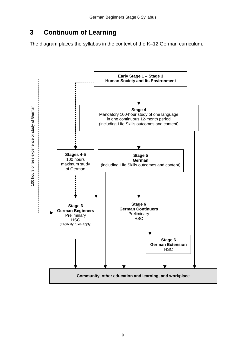# <span id="page-8-0"></span>**3 Continuum of Learning**

The diagram places the syllabus in the context of the K–12 German curriculum.

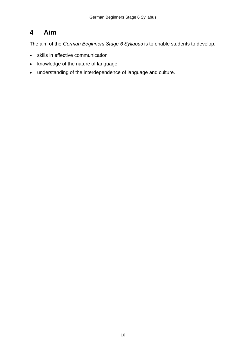# <span id="page-9-0"></span>**4 Aim**

The aim of the *German Beginners Stage 6 Syllabus* is to enable students to develop:

- skills in effective communication
- knowledge of the nature of language
- understanding of the interdependence of language and culture.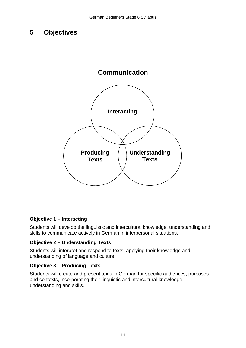# <span id="page-10-0"></span>**5 Objectives**



#### **Objective 1 – Interacting**

Students will develop the linguistic and intercultural knowledge, understanding and skills to communicate actively in German in interpersonal situations.

#### **Objective 2 – Understanding Texts**

Students will interpret and respond to texts, applying their knowledge and understanding of language and culture.

#### **Objective 3 – Producing Texts**

Students will create and present texts in German for specific audiences, purposes and contexts, incorporating their linguistic and intercultural knowledge, understanding and skills.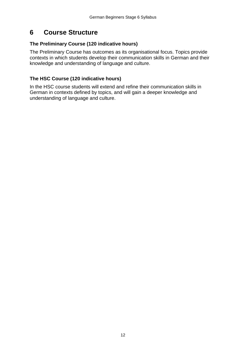# <span id="page-11-0"></span>**6 Course Structure**

#### **The Preliminary Course (120 indicative hours)**

The Preliminary Course has outcomes as its organisational focus. Topics provide contexts in which students develop their communication skills in German and their knowledge and understanding of language and culture.

#### **The HSC Course (120 indicative hours)**

In the HSC course students will extend and refine their communication skills in German in contexts defined by topics, and will gain a deeper knowledge and understanding of language and culture.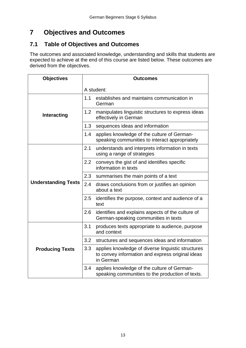# <span id="page-12-0"></span>**7 Objectives and Outcomes**

## **7.1 Table of Objectives and Outcomes**

The outcomes and associated knowledge, understanding and skills that students are expected to achieve at the end of this course are listed below. These outcomes are derived from the objectives.

| <b>Objectives</b>          | <b>Outcomes</b> |                                                                                                                     |  |  |
|----------------------------|-----------------|---------------------------------------------------------------------------------------------------------------------|--|--|
|                            | A student:      |                                                                                                                     |  |  |
|                            | 1.1             | establishes and maintains communication in<br>German                                                                |  |  |
| Interacting                | 1.2             | manipulates linguistic structures to express ideas<br>effectively in German                                         |  |  |
|                            | 1.3             | sequences ideas and information                                                                                     |  |  |
|                            | 1.4             | applies knowledge of the culture of German-<br>speaking communities to interact appropriately                       |  |  |
|                            | 2.1             | understands and interprets information in texts<br>using a range of strategies                                      |  |  |
|                            | 2.2             | conveys the gist of and identifies specific<br>information in texts                                                 |  |  |
|                            | 2.3             | summarises the main points of a text                                                                                |  |  |
| <b>Understanding Texts</b> | 2.4             | draws conclusions from or justifies an opinion<br>about a text                                                      |  |  |
|                            | $2.5\,$         | identifies the purpose, context and audience of a<br>text                                                           |  |  |
|                            | 2.6             | identifies and explains aspects of the culture of<br>German-speaking communities in texts                           |  |  |
|                            | 3.1             | produces texts appropriate to audience, purpose<br>and context                                                      |  |  |
|                            | 3.2             | structures and sequences ideas and information                                                                      |  |  |
| <b>Producing Texts</b>     | 3.3             | applies knowledge of diverse linguistic structures<br>to convey information and express original ideas<br>in German |  |  |
|                            | 3.4             | applies knowledge of the culture of German-<br>speaking communities to the production of texts.                     |  |  |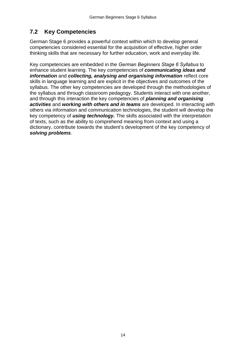# <span id="page-13-0"></span>**7.2 Key Competencies**

German Stage 6 provides a powerful context within which to develop general competencies considered essential for the acquisition of effective, higher order thinking skills that are necessary for further education, work and everyday life.

Key competencies are embedded in the *German Beginners Stage 6 Syllabus* to enhance student learning. The key competencies of *communicating ideas and information* and *collecting, analysing and organising information* reflect core skills in language learning and are explicit in the objectives and outcomes of the syllabus. The other key competencies are developed through the methodologies of the syllabus and through classroom pedagogy. Students interact with one another, and through this interaction the key competencies of *planning and organising activities* and *working with others and in teams* are developed. In interacting with others via information and communication technologies, the student will develop the key competency of *using technology.* The skills associated with the interpretation of texts, such as the ability to comprehend meaning from context and using a dictionary, contribute towards the student's development of the key competency of *solving problems*.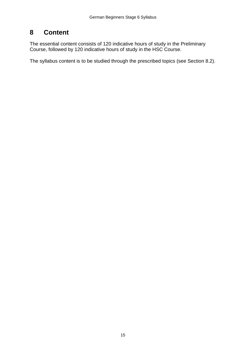# <span id="page-14-0"></span>**8 Content**

The essential content consists of 120 indicative hours of study in the Preliminary Course, followed by 120 indicative hours of study in the HSC Course.

The syllabus content is to be studied through the prescribed topics (see Section 8.2).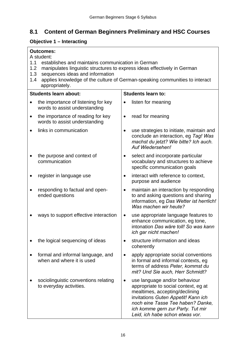# <span id="page-15-0"></span>**8.1 Content of German Beginners Preliminary and HSC Courses**

### **Objective 1 – Interacting**

| <b>Outcomes:</b><br>A student:<br>1.1<br>establishes and maintains communication in German<br>1.2<br>manipulates linguistic structures to express ideas effectively in German<br>1.3<br>sequences ideas and information<br>applies knowledge of the culture of German-speaking communities to interact<br>1.4<br>appropriately. |                                                                      |           |                                                                                                                                                                                                                                                             |  |
|---------------------------------------------------------------------------------------------------------------------------------------------------------------------------------------------------------------------------------------------------------------------------------------------------------------------------------|----------------------------------------------------------------------|-----------|-------------------------------------------------------------------------------------------------------------------------------------------------------------------------------------------------------------------------------------------------------------|--|
|                                                                                                                                                                                                                                                                                                                                 | <b>Students learn about:</b>                                         |           | <b>Students learn to:</b>                                                                                                                                                                                                                                   |  |
|                                                                                                                                                                                                                                                                                                                                 | the importance of listening for key<br>words to assist understanding |           | listen for meaning                                                                                                                                                                                                                                          |  |
|                                                                                                                                                                                                                                                                                                                                 | the importance of reading for key<br>words to assist understanding   | ٠         | read for meaning                                                                                                                                                                                                                                            |  |
|                                                                                                                                                                                                                                                                                                                                 | links in communication                                               | $\bullet$ | use strategies to initiate, maintain and<br>conclude an interaction, eg Tag! Was<br>machst du jetzt? Wie bitte? Ich auch.<br>Auf Wiedersehen!                                                                                                               |  |
|                                                                                                                                                                                                                                                                                                                                 | the purpose and context of<br>communication                          | ٠         | select and incorporate particular<br>vocabulary and structures to achieve<br>specific communication goals                                                                                                                                                   |  |
|                                                                                                                                                                                                                                                                                                                                 | register in language use                                             |           | interact with reference to context,<br>purpose and audience                                                                                                                                                                                                 |  |
|                                                                                                                                                                                                                                                                                                                                 | responding to factual and open-<br>ended questions                   | $\bullet$ | maintain an interaction by responding<br>to and asking questions and sharing<br>information, eg Das Wetter ist herrlich!<br>Was machen wir heute?                                                                                                           |  |
|                                                                                                                                                                                                                                                                                                                                 | ways to support effective interaction                                | $\bullet$ | use appropriate language features to<br>enhance communication, eg tone,<br>intonation Das wäre toll! So was kann<br>ich gar nicht machen!                                                                                                                   |  |
|                                                                                                                                                                                                                                                                                                                                 | the logical sequencing of ideas                                      |           | structure information and ideas<br>coherently                                                                                                                                                                                                               |  |
|                                                                                                                                                                                                                                                                                                                                 | formal and informal language, and<br>when and where it is used       |           | apply appropriate social conventions<br>in formal and informal contexts, eg<br>terms of address Peter, kommst du<br>mit? Und Sie auch, Herr Schmidt?                                                                                                        |  |
|                                                                                                                                                                                                                                                                                                                                 | sociolinguistic conventions relating<br>to everyday activities.      |           | use language and/or behaviour<br>appropriate to social context, eg at<br>mealtimes, accepting/declining<br>invitations Guten Appetit! Kann ich<br>noch eine Tasse Tee haben? Danke,<br>ich komme gern zur Party. Tut mir<br>Leid, ich habe schon etwas vor. |  |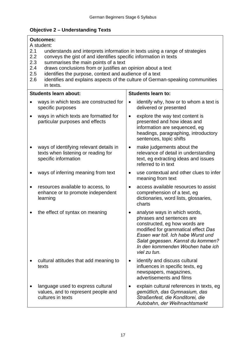### **Objective 2 – Understanding Texts**

| <b>Outcomes:</b><br>A student:<br>2.1<br>understands and interprets information in texts using a range of strategies<br>2.2<br>conveys the gist of and identifies specific information in texts<br>2.3<br>summarises the main points of a text<br>2.4<br>draws conclusions from or justifies an opinion about a text<br>identifies the purpose, context and audience of a text<br>2.5<br>identifies and explains aspects of the culture of German-speaking communities<br>2.6<br>in texts. |                                                                                                        |                           |                                                                                                                                                                                                                                                                  |  |  |
|--------------------------------------------------------------------------------------------------------------------------------------------------------------------------------------------------------------------------------------------------------------------------------------------------------------------------------------------------------------------------------------------------------------------------------------------------------------------------------------------|--------------------------------------------------------------------------------------------------------|---------------------------|------------------------------------------------------------------------------------------------------------------------------------------------------------------------------------------------------------------------------------------------------------------|--|--|
|                                                                                                                                                                                                                                                                                                                                                                                                                                                                                            | <b>Students learn about:</b>                                                                           | <b>Students learn to:</b> |                                                                                                                                                                                                                                                                  |  |  |
|                                                                                                                                                                                                                                                                                                                                                                                                                                                                                            | ways in which texts are constructed for<br>specific purposes                                           |                           | identify why, how or to whom a text is<br>delivered or presented                                                                                                                                                                                                 |  |  |
|                                                                                                                                                                                                                                                                                                                                                                                                                                                                                            | ways in which texts are formatted for<br>particular purposes and effects                               | $\bullet$                 | explore the way text content is<br>presented and how ideas and<br>information are sequenced, eg<br>headings, paragraphing, introductory<br>sentences, topic shifts                                                                                               |  |  |
|                                                                                                                                                                                                                                                                                                                                                                                                                                                                                            | ways of identifying relevant details in<br>texts when listening or reading for<br>specific information | $\bullet$                 | make judgements about the<br>relevance of detail in understanding<br>text, eg extracting ideas and issues<br>referred to in text                                                                                                                                 |  |  |
|                                                                                                                                                                                                                                                                                                                                                                                                                                                                                            | ways of inferring meaning from text                                                                    | $\bullet$                 | use contextual and other clues to infer<br>meaning from text                                                                                                                                                                                                     |  |  |
|                                                                                                                                                                                                                                                                                                                                                                                                                                                                                            | resources available to access, to<br>enhance or to promote independent<br>learning                     | $\bullet$                 | access available resources to assist<br>comprehension of a text, eg<br>dictionaries, word lists, glossaries,<br>charts                                                                                                                                           |  |  |
|                                                                                                                                                                                                                                                                                                                                                                                                                                                                                            | the effect of syntax on meaning                                                                        |                           | analyse ways in which words,<br>phrases and sentences are<br>constructed, eg how words are<br>modified for grammatical effect Das<br>Essen war toll. Ich habe Wurst und<br>Salat gegessen. Kannst du kommen?<br>In den kommenden Wochen habe ich<br>viel zu tun. |  |  |
|                                                                                                                                                                                                                                                                                                                                                                                                                                                                                            | cultural attitudes that add meaning to<br>texts                                                        |                           | identify and discuss cultural<br>influences in specific texts, eg<br>newspapers, magazines,<br>advertisements and films                                                                                                                                          |  |  |
|                                                                                                                                                                                                                                                                                                                                                                                                                                                                                            | language used to express cultural<br>values, and to represent people and<br>cultures in texts          | $\bullet$                 | explain cultural references in texts, eg<br>gemütlich, das Gymnasium, das<br>Straßenfest, die Konditorei, die<br>Autobahn, der Weihnachtsmarkt                                                                                                                   |  |  |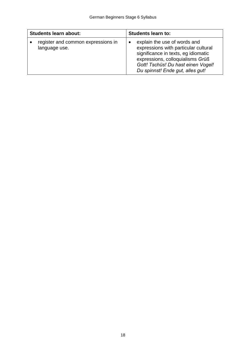| <b>Students learn about:</b>                        | <b>Students learn to:</b>                                                                                                                                                                                                 |
|-----------------------------------------------------|---------------------------------------------------------------------------------------------------------------------------------------------------------------------------------------------------------------------------|
| register and common expressions in<br>language use. | explain the use of words and<br>expressions with particular cultural<br>significance in texts, eg idiomatic<br>expressions, colloquialisms Grüß<br>Gott! Tschüs! Du hast einen Vogel!<br>Du spinnst! Ende gut, alles gut! |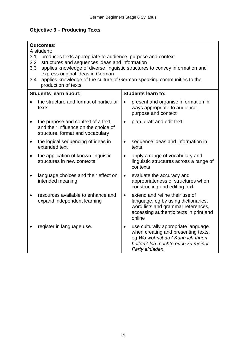## **Objective 3 – Producing Texts**

|           | <b>Outcomes:</b>                                                                                                 |                           |                                                                                                                                                                       |  |  |
|-----------|------------------------------------------------------------------------------------------------------------------|---------------------------|-----------------------------------------------------------------------------------------------------------------------------------------------------------------------|--|--|
|           | A student:                                                                                                       |                           |                                                                                                                                                                       |  |  |
| 3.1       | produces texts appropriate to audience, purpose and context                                                      |                           |                                                                                                                                                                       |  |  |
| 3.2       | structures and sequences ideas and information                                                                   |                           |                                                                                                                                                                       |  |  |
| 3.3       | applies knowledge of diverse linguistic structures to convey information and<br>express original ideas in German |                           |                                                                                                                                                                       |  |  |
| 3.4       | applies knowledge of the culture of German-speaking communities to the                                           |                           |                                                                                                                                                                       |  |  |
|           | production of texts.                                                                                             |                           |                                                                                                                                                                       |  |  |
|           | <b>Students learn about:</b>                                                                                     | <b>Students learn to:</b> |                                                                                                                                                                       |  |  |
|           | the structure and format of particular<br>texts                                                                  | $\bullet$                 | present and organise information in<br>ways appropriate to audience,<br>purpose and context                                                                           |  |  |
| ٠         | the purpose and context of a text<br>and their influence on the choice of<br>structure, format and vocabulary    | $\bullet$                 | plan, draft and edit text                                                                                                                                             |  |  |
| $\bullet$ | the logical sequencing of ideas in<br>extended text                                                              | $\bullet$                 | sequence ideas and information in<br>texts                                                                                                                            |  |  |
| $\bullet$ | the application of known linguistic<br>structures in new contexts                                                | $\bullet$                 | apply a range of vocabulary and<br>linguistic structures across a range of<br>contexts                                                                                |  |  |
| $\bullet$ | language choices and their effect on<br>intended meaning                                                         | $\bullet$                 | evaluate the accuracy and<br>appropriateness of structures when<br>constructing and editing text                                                                      |  |  |
|           | resources available to enhance and<br>expand independent learning                                                | $\bullet$                 | extend and refine their use of<br>language, eg by using dictionaries,<br>word lists and grammar references,<br>accessing authentic texts in print and<br>online       |  |  |
|           | register in language use.                                                                                        |                           | use culturally appropriate language<br>when creating and presenting texts,<br>eg Wo wohnst du? Kann ich Ihnen<br>helfen? Ich möchte euch zu meiner<br>Party einladen. |  |  |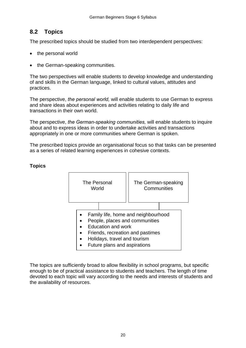### <span id="page-19-0"></span>**8.2 Topics**

The prescribed topics should be studied from two interdependent perspectives:

- the personal world
- the German-speaking communities.

The two perspectives will enable students to develop knowledge and understanding of and skills in the German language, linked to cultural values, attitudes and practices.

The perspective, *the personal world,* will enable students to use German to express and share ideas about experiences and activities relating to daily life and transactions in their own world.

The perspective, *the German-speaking communities,* will enable students to inquire about and to express ideas in order to undertake activities and transactions appropriately in one or more communities where German is spoken.

The prescribed topics provide an organisational focus so that tasks can be presented as a series of related learning experiences in cohesive contexts.



#### **Topics**

The topics are sufficiently broad to allow flexibility in school programs, but specific enough to be of practical assistance to students and teachers. The length of time devoted to each topic will vary according to the needs and interests of students and the availability of resources.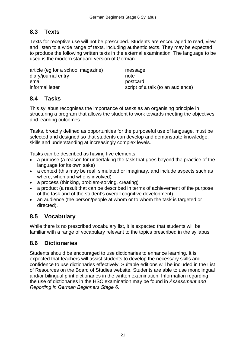### <span id="page-20-0"></span>**8.3 Texts**

Texts for receptive use will not be prescribed. Students are encouraged to read, view and listen to a wide range of texts, including authentic texts. They may be expected to produce the following written texts in the external examination. The language to be used is the modern standard version of German.

article (eg for a school magazine) message diary/journal entry note email **provided provided provided provided provided provided provided provided provided provided provided provided provided provided provided provided provided provided provided provid** informal letter script of a talk (to an audience)

### **8.4 Tasks**

This syllabus recognises the importance of tasks as an organising principle in structuring a program that allows the student to work towards meeting the objectives and learning outcomes.

Tasks, broadly defined as opportunities for the purposeful use of language, must be selected and designed so that students can develop and demonstrate knowledge, skills and understanding at increasingly complex levels.

Tasks can be described as having five elements:

- a purpose (a reason for undertaking the task that goes beyond the practice of the language for its own sake)
- a context (this may be real, simulated or imaginary, and include aspects such as where, when and who is involved)
- a process (thinking, problem-solving, creating)
- a product (a result that can be described in terms of achievement of the purpose of the task and of the student's overall cognitive development)
- an audience (the person/people at whom or to whom the task is targeted or directed).

#### **8.5 Vocabulary**

While there is no prescribed vocabulary list, it is expected that students will be familiar with a range of vocabulary relevant to the topics prescribed in the syllabus.

#### **8.6 Dictionaries**

Students should be encouraged to use dictionaries to enhance learning. It is expected that teachers will assist students to develop the necessary skills and confidence to use dictionaries effectively. Suitable editions will be included in the List of Resources on the Board of Studies website. Students are able to use monolingual and/or bilingual print dictionaries in the written examination. Information regarding the use of dictionaries in the HSC examination may be found in *Assessment and Reporting in German Beginners Stage 6.*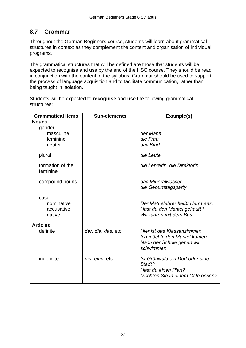### <span id="page-21-0"></span>**8.7 Grammar**

Throughout the German Beginners course, students will learn about grammatical structures in context as they complement the content and organisation of individual programs.

The grammatical structures that will be defined are those that students will be expected to recognise and use by the end of the HSC course. They should be read in conjunction with the content of the syllabus. Grammar should be used to support the process of language acquisition and to facilitate communication, rather than being taught in isolation.

Students will be expected to **recognise** and **use** the following grammatical structures:

| <b>Grammatical Items</b>     | <b>Sub-elements</b> | Example(s)                                                                                              |
|------------------------------|---------------------|---------------------------------------------------------------------------------------------------------|
| <b>Nouns</b><br>gender:      |                     |                                                                                                         |
| masculine                    |                     | der Mann                                                                                                |
| feminine                     |                     | die Frau                                                                                                |
| neuter                       |                     | das Kind                                                                                                |
| plural                       |                     | die Leute                                                                                               |
| formation of the<br>feminine |                     | die Lehrerin, die Direktorin                                                                            |
| compound nouns               |                     | das Mineralwasser<br>die Geburtstagsparty                                                               |
| case:                        |                     |                                                                                                         |
| nominative                   |                     | Der Mathelehrer heißt Herr Lenz.                                                                        |
| accusative                   |                     | Hast du den Mantel gekauft?                                                                             |
| dative                       |                     | Wir fahren mit dem Bus.                                                                                 |
| <b>Articles</b>              |                     |                                                                                                         |
| definite                     | der, die, das, etc  | Hier ist das Klassenzimmer.<br>Ich möchte den Mantel kaufen.<br>Nach der Schule gehen wir<br>schwimmen. |
| indefinite                   | ein, eine, etc      | Ist Grünwald ein Dorf oder eine<br>Stadt?<br>Hast du einen Plan?<br>Möchten Sie in einem Café essen?    |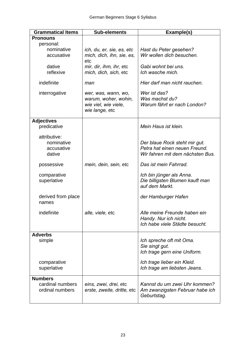| <b>Grammatical Items</b>                              | <b>Sub-elements</b>                                                                   | Example(s)                                                                                         |  |
|-------------------------------------------------------|---------------------------------------------------------------------------------------|----------------------------------------------------------------------------------------------------|--|
| <b>Pronouns</b>                                       |                                                                                       |                                                                                                    |  |
| personal:<br>nominative<br>accusative                 | ich, du, er, sie, es, etc<br>mich, dich, ihn, sie, es,<br>etc                         | Hast du Peter gesehen?<br>Wir wollen dich besuchen.                                                |  |
| dative<br>reflexive                                   | mir, dir, ihm, ihr, etc<br>mich, dich, sich, etc                                      | Gabi wohnt bei uns.<br>Ich wasche mich.                                                            |  |
| indefinite                                            | man                                                                                   | Hier darf man nicht rauchen.                                                                       |  |
| interrogative                                         | wer, was, wann, wo,<br>warum, woher, wohin,<br>wie viel, wie viele,<br>wie lange, etc | Wer ist das?<br>Was machst du?<br>Warum fährt er nach London?                                      |  |
| <b>Adjectives</b>                                     |                                                                                       |                                                                                                    |  |
| predicative                                           |                                                                                       | Mein Haus ist klein.                                                                               |  |
| attributive:<br>nominative<br>accusative<br>dative    |                                                                                       | Der blaue Rock steht mir gut.<br>Petra hat einen neuen Freund.<br>Wir fahren mit dem nächsten Bus. |  |
| possessive                                            | mein, dein, sein, etc                                                                 | Das ist mein Fahrrad.                                                                              |  |
| comparative<br>superlative                            |                                                                                       | Ich bin jünger als Anna.<br>Die billigsten Blumen kauft man<br>auf dem Markt.                      |  |
| derived from place<br>names                           |                                                                                       | der Hamburger Hafen                                                                                |  |
| indefinite                                            | alle, viele, etc                                                                      | Alle meine Freunde haben ein<br>Handy. Nur ich nicht.<br>Ich habe viele Städte besucht.            |  |
| <b>Adverbs</b>                                        |                                                                                       |                                                                                                    |  |
| simple                                                |                                                                                       | Ich spreche oft mit Oma.<br>Sie singt gut.<br>Ich trage gern eine Uniform.                         |  |
| comparative<br>superlative                            |                                                                                       | Ich trage lieber ein Kleid.<br>Ich trage am liebsten Jeans.                                        |  |
| <b>Numbers</b><br>cardinal numbers<br>ordinal numbers | eins, zwei, drei, etc<br>erste, zweite, dritte, etc                                   | Kannst du um zwei Uhr kommen?<br>Am zwanzigsten Februar habe ich<br>Geburtstag.                    |  |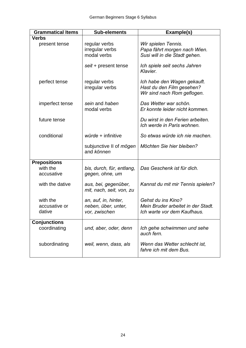| <b>Grammatical Items</b>            | <b>Sub-elements</b>                                          | Example(s)                                                                                     |  |
|-------------------------------------|--------------------------------------------------------------|------------------------------------------------------------------------------------------------|--|
| <b>Verbs</b>                        |                                                              |                                                                                                |  |
| present tense                       | regular verbs<br>irregular verbs<br>modal verbs              | Wir spielen Tennis.<br>Papa fährt morgen nach Wien.<br>Susi will in die Stadt gehen.           |  |
|                                     | seit + present tense                                         | Ich spiele seit sechs Jahren<br>Klavier.                                                       |  |
| perfect tense                       | regular verbs<br>irregular verbs                             | Ich habe den Wagen gekauft.<br>Hast du den Film gesehen?<br>Wir sind nach Rom geflogen.        |  |
| imperfect tense                     | sein and haben<br>modal verbs                                | Das Wetter war schön.<br>Er konnte leider nicht kommen.                                        |  |
| future tense                        |                                                              | Du wirst in den Ferien arbeiten.<br>Ich werde in Paris wohnen.                                 |  |
| conditional                         | $würde +$ infinitive                                         | So etwas würde ich nie machen.                                                                 |  |
|                                     | subjunctive II of <i>mögen</i><br>and können                 | Möchten Sie hier bleiben?                                                                      |  |
| <b>Prepositions</b>                 |                                                              |                                                                                                |  |
| with the<br>accusative              | bis, durch, für, entlang,<br>gegen, ohne, um                 | Das Geschenk ist für dich.                                                                     |  |
| with the dative                     | aus, bei, gegenüber,<br>mit, nach, seit, von, zu             | Kannst du mit mir Tennis spielen?                                                              |  |
| with the<br>accusative or<br>dative | an, auf, in, hinter,<br>neben, über, unter,<br>vor, zwischen | <b>Gehst du ins Kino?</b><br>Mein Bruder arbeitet in der Stadt.<br>Ich warte vor dem Kaufhaus. |  |
| <b>Conjunctions</b>                 |                                                              |                                                                                                |  |
| coordinating                        | und, aber, oder, denn                                        | Ich gehe schwimmen und sehe<br>auch fern.                                                      |  |
| subordinating                       | weil, wenn, dass, als                                        | Wenn das Wetter schlecht ist,<br>fahre ich mit dem Bus.                                        |  |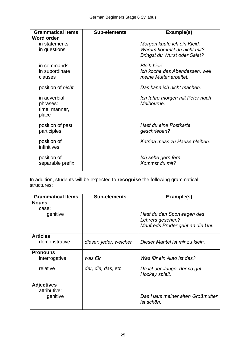| <b>Grammatical Items</b>   | <b>Sub-elements</b> | Example(s)                          |
|----------------------------|---------------------|-------------------------------------|
| <b>Word order</b>          |                     |                                     |
| in statements              |                     | Morgen kaufe ich ein Kleid.         |
| in questions               |                     | Warum kommst du nicht mit?          |
|                            |                     | <b>Bringst du Wurst oder Salat?</b> |
| in commands                |                     | <b>Bleib hier!</b>                  |
| in subordinate             |                     | Ich koche das Abendessen, weil      |
| clauses                    |                     | meine Mutter arbeitet.              |
| position of <i>nicht</i>   |                     | Das kann ich nicht machen.          |
| in adverbial               |                     | Ich fahre morgen mit Peter nach     |
| phrases:                   |                     | Melbourne.                          |
| time, manner,              |                     |                                     |
| place                      |                     |                                     |
| position of past           |                     | Hast du eine Postkarte              |
| participles                |                     | geschrieben?                        |
|                            |                     |                                     |
| position of<br>infinitives |                     | Katrina muss zu Hause bleiben.      |
|                            |                     |                                     |
| position of                |                     | Ich sehe gern fern.                 |
| separable prefix           |                     | Kommst du mit?                      |
|                            |                     |                                     |

In addition, students will be expected to **recognise** the following grammatical structures:

| <b>Grammatical Items</b>                      | <b>Sub-elements</b>    | Example(s)                                                                         |
|-----------------------------------------------|------------------------|------------------------------------------------------------------------------------|
| <b>Nouns</b><br>case:<br>genitive             |                        | Hast du den Sportwagen des<br>Lehrers gesehen?<br>Manfreds Bruder geht an die Uni. |
| <b>Articles</b><br>demonstrative              | dieser, jeder, welcher | Dieser Mantel ist mir zu klein.                                                    |
| <b>Pronouns</b><br>interrogative              | was für                | Was für ein Auto ist das?                                                          |
| relative                                      | der, die, das, etc     | Da ist der Junge, der so gut<br>Hockey spielt.                                     |
| <b>Adjectives</b><br>attributive:<br>genitive |                        | Das Haus meiner alten Großmutter<br>ist schön.                                     |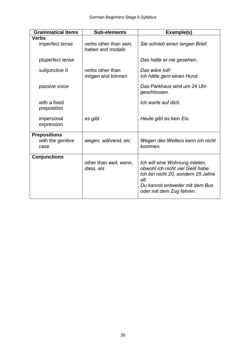| <b>Grammatical Items</b>    | <b>Sub-elements</b>                        | Example(s)                                                                                                                                                                    |
|-----------------------------|--------------------------------------------|-------------------------------------------------------------------------------------------------------------------------------------------------------------------------------|
| Verbs                       |                                            |                                                                                                                                                                               |
| imperfect tense             | verbs other than sein,<br>haben and modals | Sie schrieb einen langen Brief.                                                                                                                                               |
| pluperfect tense            |                                            | Das hatte er nie gesehen                                                                                                                                                      |
| subjunctive II              | verbs other than<br>mögen and können       | Das wäre toll!<br>Ich hätte gern einen Hund.                                                                                                                                  |
| passive voice               |                                            | Das Parkhaus wird um 24 Uhr<br>geschlossen.                                                                                                                                   |
| with a fixed<br>preposition |                                            | Ich warte auf dich.                                                                                                                                                           |
| impersonal<br>expression    | es gibt                                    | Heute gibt es kein Eis.                                                                                                                                                       |
| <b>Prepositions</b>         |                                            |                                                                                                                                                                               |
| with the genitive<br>case   | wegen, während, etc                        | Wegen des Wetters kann ich nicht<br>kommen.                                                                                                                                   |
| <b>Conjunctions</b>         |                                            |                                                                                                                                                                               |
|                             | other than weil, wenn,<br>dass, als        | Ich will eine Wohnung mieten,<br>obwohl ich nicht viel Geld habe.<br>Ich bin nicht 20, sondern 25 Jahre<br>alt.<br>Du kannst entweder mit dem Bus<br>oder mit dem Zug fahren. |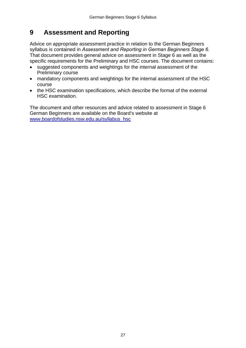# <span id="page-26-0"></span>**9 Assessment and Reporting**

Advice on appropriate assessment practice in relation to the German Beginners syllabus is contained in *Assessment and Reporting in German Beginners Stage 6*. That document provides general advice on assessment in Stage 6 as well as the specific requirements for the Preliminary and HSC courses. The document contains:

- suggested components and weightings for the internal assessment of the Preliminary course
- mandatory components and weightings for the internal assessment of the HSC course
- the HSC examination specifications, which describe the format of the external HSC examination.

The document and other resources and advice related to assessment in Stage 6 German Beginners are available on the Board's website at [www.boardofstudies.nsw.edu.au/syllabus\\_hsc](http://www.boardofstudies.nsw.edu.au/syllabus_hsc)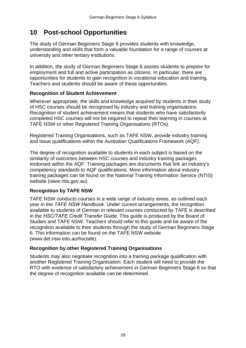# <span id="page-27-0"></span>**10 Post-school Opportunities**

The study of German Beginners Stage 6 provides students with knowledge, understanding and skills that form a valuable foundation for a range of courses at university and other tertiary institutions.

In addition, the study of German Beginners Stage 6 assists students to prepare for employment and full and active participation as citizens. In particular, there are opportunities for students to gain recognition in vocational education and training. Teachers and students should be aware of these opportunities.

#### **Recognition of Student Achievement**

Wherever appropriate, the skills and knowledge acquired by students in their study of HSC courses should be recognised by industry and training organisations. Recognition of student achievement means that students who have satisfactorily completed HSC courses will not be required to repeat their learning in courses at TAFE NSW or other Registered Training Organisations (RTOs).

Registered Training Organisations, such as TAFE NSW, provide industry training and issue qualifications within the Australian Qualifications Framework (AQF).

The degree of recognition available to students in each subject is based on the similarity of outcomes between HSC courses and industry training packages endorsed within the AQF. Training packages are documents that link an industry's competency standards to AQF qualifications. More information about industry training packages can be found on the National Training Information Service (NTIS) website (www.ntis.gov.au).

#### **Recognition by TAFE NSW**

TAFE NSW conducts courses in a wide range of industry areas, as outlined each year in the *TAFE NSW Handbook.* Under current arrangements, the recognition available to students of German in relevant courses conducted by TAFE is described in the *HSC/TAFE Credit Transfer Guide*. This guide is produced by the Board of Studies and TAFE NSW. Teachers should refer to this guide and be aware of the recognition available to their students through the study of German Beginners Stage 6. This information can be found on the TAFE NSW website ([www.det.nsw.edu.au/hsctafe\)](http://www.det.nsw.edu.au/hsctafe).

#### **Recognition by other Registered Training Organisations**

Students may also negotiate recognition into a training package qualification with another Registered Training Organisation. Each student will need to provide the RTO with evidence of satisfactory achievement in German Beginners Stage 6 so that the degree of recognition available can be determined.